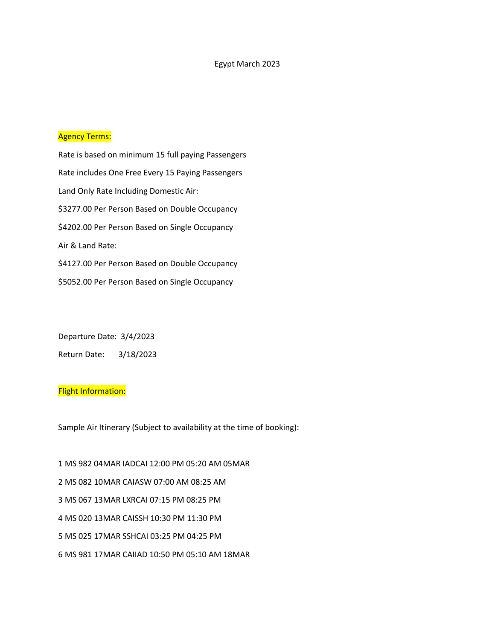#### Agency Terms:

Rate is based on minimum 15 full paying Passengers Rate includes One Free Every 15 Paying Passengers Land Only Rate Including Domestic Air: \$3277.00 Per Person Based on Double Occupancy \$4202.00 Per Person Based on Single Occupancy Air & Land Rate: \$4127.00 Per Person Based on Double Occupancy \$5052.00 Per Person Based on Single Occupancy

Departure Date: 3/4/2023 Return Date: 3/18/2023

# **Flight Information:**

Sample Air Itinerary (Subject to availability at the time of booking):

1 MS 982 04MAR IADCAI 12:00 PM 05:20 AM 05MAR 2 MS 082 10MAR CAIASW 07:00 AM 08:25 AM 3 MS 067 13MAR LXRCAI 07:15 PM 08:25 PM 4 MS 020 13MAR CAISSH 10:30 PM 11:30 PM 5 MS 025 17MAR SSHCAI 03:25 PM 04:25 PM 6 MS 981 17MAR CAIIAD 10:50 PM 05:10 AM 18MAR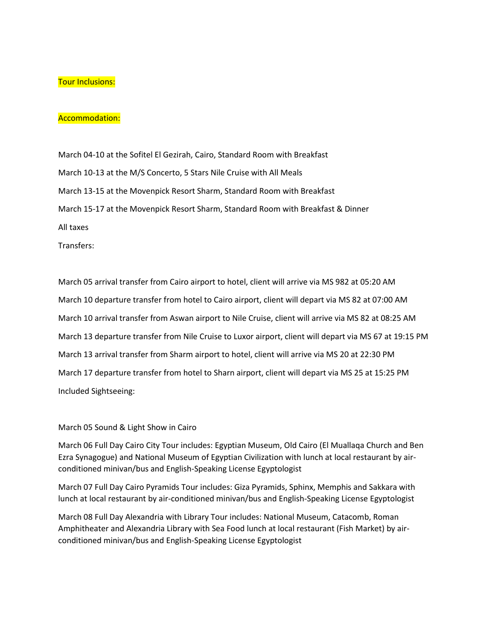## Tour Inclusions:

### Accommodation:

March 04-10 at the Sofitel El Gezirah, Cairo, Standard Room with Breakfast March 10-13 at the M/S Concerto, 5 Stars Nile Cruise with All Meals March 13-15 at the Movenpick Resort Sharm, Standard Room with Breakfast March 15-17 at the Movenpick Resort Sharm, Standard Room with Breakfast & Dinner All taxes

Transfers:

March 05 arrival transfer from Cairo airport to hotel, client will arrive via MS 982 at 05:20 AM March 10 departure transfer from hotel to Cairo airport, client will depart via MS 82 at 07:00 AM March 10 arrival transfer from Aswan airport to Nile Cruise, client will arrive via MS 82 at 08:25 AM March 13 departure transfer from Nile Cruise to Luxor airport, client will depart via MS 67 at 19:15 PM March 13 arrival transfer from Sharm airport to hotel, client will arrive via MS 20 at 22:30 PM March 17 departure transfer from hotel to Sharn airport, client will depart via MS 25 at 15:25 PM Included Sightseeing:

### March 05 Sound & Light Show in Cairo

March 06 Full Day Cairo City Tour includes: Egyptian Museum, Old Cairo (El Muallaqa Church and Ben Ezra Synagogue) and National Museum of Egyptian Civilization with lunch at local restaurant by airconditioned minivan/bus and English-Speaking License Egyptologist

March 07 Full Day Cairo Pyramids Tour includes: Giza Pyramids, Sphinx, Memphis and Sakkara with lunch at local restaurant by air-conditioned minivan/bus and English-Speaking License Egyptologist

March 08 Full Day Alexandria with Library Tour includes: National Museum, Catacomb, Roman Amphitheater and Alexandria Library with Sea Food lunch at local restaurant (Fish Market) by airconditioned minivan/bus and English-Speaking License Egyptologist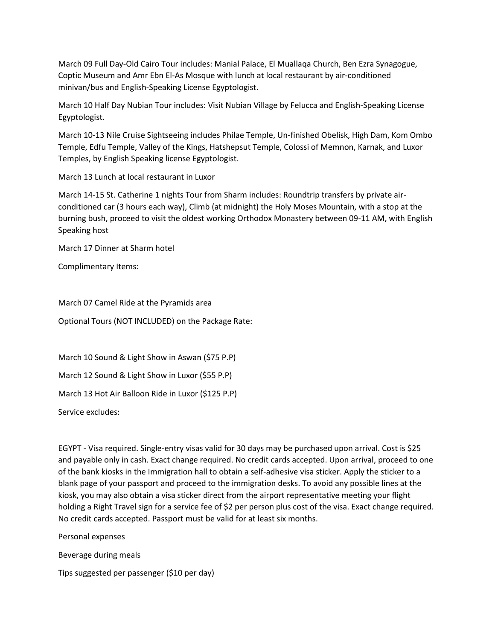March 09 Full Day-Old Cairo Tour includes: Manial Palace, El Muallaqa Church, Ben Ezra Synagogue, Coptic Museum and Amr Ebn El-As Mosque with lunch at local restaurant by air-conditioned minivan/bus and English-Speaking License Egyptologist.

March 10 Half Day Nubian Tour includes: Visit Nubian Village by Felucca and English-Speaking License Egyptologist.

March 10-13 Nile Cruise Sightseeing includes Philae Temple, Un-finished Obelisk, High Dam, Kom Ombo Temple, Edfu Temple, Valley of the Kings, Hatshepsut Temple, Colossi of Memnon, Karnak, and Luxor Temples, by English Speaking license Egyptologist.

March 13 Lunch at local restaurant in Luxor

March 14-15 St. Catherine 1 nights Tour from Sharm includes: Roundtrip transfers by private airconditioned car (3 hours each way), Climb (at midnight) the Holy Moses Mountain, with a stop at the burning bush, proceed to visit the oldest working Orthodox Monastery between 09-11 AM, with English Speaking host

March 17 Dinner at Sharm hotel

Complimentary Items:

March 07 Camel Ride at the Pyramids area

Optional Tours (NOT INCLUDED) on the Package Rate:

March 10 Sound & Light Show in Aswan (\$75 P.P) March 12 Sound & Light Show in Luxor (\$55 P.P) March 13 Hot Air Balloon Ride in Luxor (\$125 P.P)

Service excludes:

EGYPT - Visa required. Single-entry visas valid for 30 days may be purchased upon arrival. Cost is \$25 and payable only in cash. Exact change required. No credit cards accepted. Upon arrival, proceed to one of the bank kiosks in the Immigration hall to obtain a self-adhesive visa sticker. Apply the sticker to a blank page of your passport and proceed to the immigration desks. To avoid any possible lines at the kiosk, you may also obtain a visa sticker direct from the airport representative meeting your flight holding a Right Travel sign for a service fee of \$2 per person plus cost of the visa. Exact change required. No credit cards accepted. Passport must be valid for at least six months.

Personal expenses

Beverage during meals

Tips suggested per passenger (\$10 per day)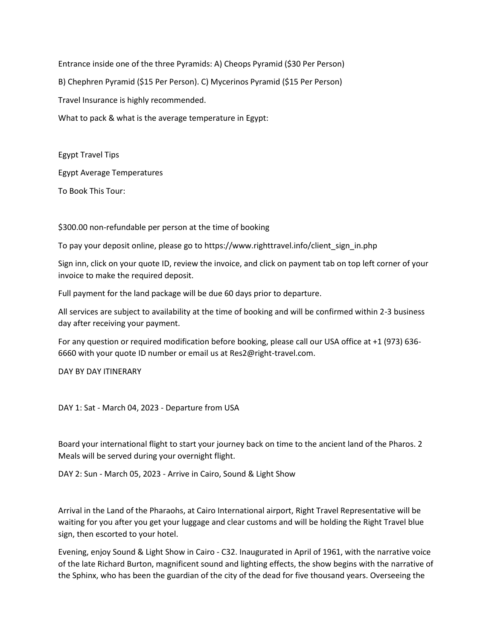Entrance inside one of the three Pyramids: A) Cheops Pyramid (\$30 Per Person) B) Chephren Pyramid (\$15 Per Person). C) Mycerinos Pyramid (\$15 Per Person) Travel Insurance is highly recommended. What to pack & what is the average temperature in Egypt:

Egypt Travel Tips Egypt Average Temperatures To Book This Tour:

\$300.00 non-refundable per person at the time of booking

To pay your deposit online, please go to https://www.righttravel.info/client\_sign\_in.php

Sign inn, click on your quote ID, review the invoice, and click on payment tab on top left corner of your invoice to make the required deposit.

Full payment for the land package will be due 60 days prior to departure.

All services are subject to availability at the time of booking and will be confirmed within 2-3 business day after receiving your payment.

For any question or required modification before booking, please call our USA office at +1 (973) 636- 6660 with your quote ID number or email us at Res2@right-travel.com.

DAY BY DAY ITINERARY

DAY 1: Sat - March 04, 2023 - Departure from USA

Board your international flight to start your journey back on time to the ancient land of the Pharos. 2 Meals will be served during your overnight flight.

DAY 2: Sun - March 05, 2023 - Arrive in Cairo, Sound & Light Show

Arrival in the Land of the Pharaohs, at Cairo International airport, Right Travel Representative will be waiting for you after you get your luggage and clear customs and will be holding the Right Travel blue sign, then escorted to your hotel.

Evening, enjoy Sound & Light Show in Cairo - C32. Inaugurated in April of 1961, with the narrative voice of the late Richard Burton, magnificent sound and lighting effects, the show begins with the narrative of the Sphinx, who has been the guardian of the city of the dead for five thousand years. Overseeing the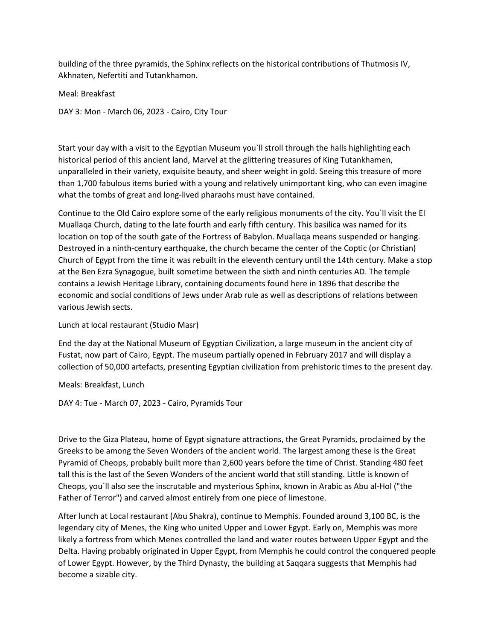building of the three pyramids, the Sphinx reflects on the historical contributions of Thutmosis IV, Akhnaten, Nefertiti and Tutankhamon.

Meal: Breakfast

DAY 3: Mon - March 06, 2023 - Cairo, City Tour

Start your day with a visit to the Egyptian Museum you`ll stroll through the halls highlighting each historical period of this ancient land, Marvel at the glittering treasures of King Tutankhamen, unparalleled in their variety, exquisite beauty, and sheer weight in gold. Seeing this treasure of more than 1,700 fabulous items buried with a young and relatively unimportant king, who can even imagine what the tombs of great and long-lived pharaohs must have contained.

Continue to the Old Cairo explore some of the early religious monuments of the city. You`ll visit the El Muallaqa Church, dating to the late fourth and early fifth century. This basilica was named for its location on top of the south gate of the Fortress of Babylon. Muallaqa means suspended or hanging. Destroyed in a ninth-century earthquake, the church became the center of the Coptic (or Christian) Church of Egypt from the time it was rebuilt in the eleventh century until the 14th century. Make a stop at the Ben Ezra Synagogue, built sometime between the sixth and ninth centuries AD. The temple contains a Jewish Heritage Library, containing documents found here in 1896 that describe the economic and social conditions of Jews under Arab rule as well as descriptions of relations between various Jewish sects.

Lunch at local restaurant (Studio Masr)

End the day at the National Museum of Egyptian Civilization, a large museum in the ancient city of Fustat, now part of Cairo, Egypt. The museum partially opened in February 2017 and will display a collection of 50,000 artefacts, presenting Egyptian civilization from prehistoric times to the present day.

Meals: Breakfast, Lunch

DAY 4: Tue - March 07, 2023 - Cairo, Pyramids Tour

Drive to the Giza Plateau, home of Egypt signature attractions, the Great Pyramids, proclaimed by the Greeks to be among the Seven Wonders of the ancient world. The largest among these is the Great Pyramid of Cheops, probably built more than 2,600 years before the time of Christ. Standing 480 feet tall this is the last of the Seven Wonders of the ancient world that still standing. Little is known of Cheops, you`ll also see the inscrutable and mysterious Sphinx, known in Arabic as Abu al-Hol ("the Father of Terror") and carved almost entirely from one piece of limestone.

After lunch at Local restaurant (Abu Shakra), continue to Memphis. Founded around 3,100 BC, is the legendary city of Menes, the King who united Upper and Lower Egypt. Early on, Memphis was more likely a fortress from which Menes controlled the land and water routes between Upper Egypt and the Delta. Having probably originated in Upper Egypt, from Memphis he could control the conquered people of Lower Egypt. However, by the Third Dynasty, the building at Saqqara suggests that Memphis had become a sizable city.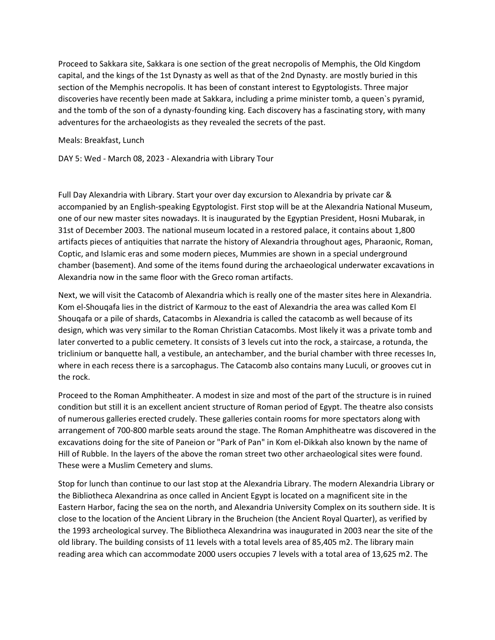Proceed to Sakkara site, Sakkara is one section of the great necropolis of Memphis, the Old Kingdom capital, and the kings of the 1st Dynasty as well as that of the 2nd Dynasty. are mostly buried in this section of the Memphis necropolis. It has been of constant interest to Egyptologists. Three major discoveries have recently been made at Sakkara, including a prime minister tomb, a queen`s pyramid, and the tomb of the son of a dynasty-founding king. Each discovery has a fascinating story, with many adventures for the archaeologists as they revealed the secrets of the past.

Meals: Breakfast, Lunch

DAY 5: Wed - March 08, 2023 - Alexandria with Library Tour

Full Day Alexandria with Library. Start your over day excursion to Alexandria by private car & accompanied by an English-speaking Egyptologist. First stop will be at the Alexandria National Museum, one of our new master sites nowadays. It is inaugurated by the Egyptian President, Hosni Mubarak, in 31st of December 2003. The national museum located in a restored palace, it contains about 1,800 artifacts pieces of antiquities that narrate the history of Alexandria throughout ages, Pharaonic, Roman, Coptic, and Islamic eras and some modern pieces, Mummies are shown in a special underground chamber (basement). And some of the items found during the archaeological underwater excavations in Alexandria now in the same floor with the Greco roman artifacts.

Next, we will visit the Catacomb of Alexandria which is really one of the master sites here in Alexandria. Kom el-Shouqafa lies in the district of Karmouz to the east of Alexandria the area was called Kom El Shouqafa or a pile of shards, Catacombs in Alexandria is called the catacomb as well because of its design, which was very similar to the Roman Christian Catacombs. Most likely it was a private tomb and later converted to a public cemetery. It consists of 3 levels cut into the rock, a staircase, a rotunda, the triclinium or banquette hall, a vestibule, an antechamber, and the burial chamber with three recesses In, where in each recess there is a sarcophagus. The Catacomb also contains many Luculi, or grooves cut in the rock.

Proceed to the Roman Amphitheater. A modest in size and most of the part of the structure is in ruined condition but still it is an excellent ancient structure of Roman period of Egypt. The theatre also consists of numerous galleries erected crudely. These galleries contain rooms for more spectators along with arrangement of 700-800 marble seats around the stage. The Roman Amphitheatre was discovered in the excavations doing for the site of Paneion or "Park of Pan" in Kom el-Dikkah also known by the name of Hill of Rubble. In the layers of the above the roman street two other archaeological sites were found. These were a Muslim Cemetery and slums.

Stop for lunch than continue to our last stop at the Alexandria Library. The modern Alexandria Library or the Bibliotheca Alexandrina as once called in Ancient Egypt is located on a magnificent site in the Eastern Harbor, facing the sea on the north, and Alexandria University Complex on its southern side. It is close to the location of the Ancient Library in the Brucheion (the Ancient Royal Quarter), as verified by the 1993 archeological survey. The Bibliotheca Alexandrina was inaugurated in 2003 near the site of the old library. The building consists of 11 levels with a total levels area of 85,405 m2. The library main reading area which can accommodate 2000 users occupies 7 levels with a total area of 13,625 m2. The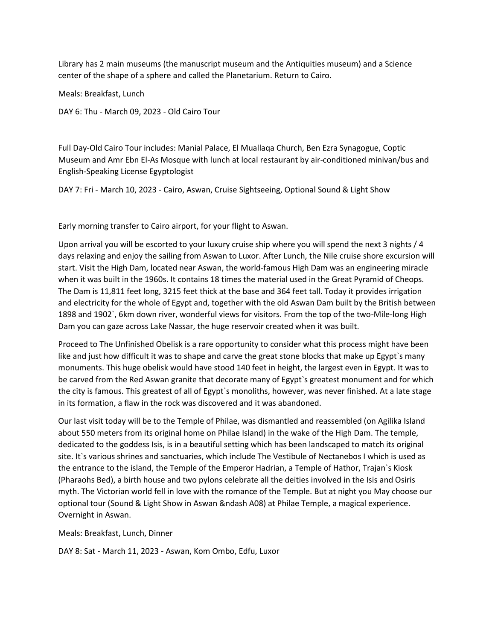Library has 2 main museums (the manuscript museum and the Antiquities museum) and a Science center of the shape of a sphere and called the Planetarium. Return to Cairo.

Meals: Breakfast, Lunch

DAY 6: Thu - March 09, 2023 - Old Cairo Tour

Full Day-Old Cairo Tour includes: Manial Palace, El Muallaqa Church, Ben Ezra Synagogue, Coptic Museum and Amr Ebn El-As Mosque with lunch at local restaurant by air-conditioned minivan/bus and English-Speaking License Egyptologist

DAY 7: Fri - March 10, 2023 - Cairo, Aswan, Cruise Sightseeing, Optional Sound & Light Show

Early morning transfer to Cairo airport, for your flight to Aswan.

Upon arrival you will be escorted to your luxury cruise ship where you will spend the next 3 nights / 4 days relaxing and enjoy the sailing from Aswan to Luxor. After Lunch, the Nile cruise shore excursion will start. Visit the High Dam, located near Aswan, the world-famous High Dam was an engineering miracle when it was built in the 1960s. It contains 18 times the material used in the Great Pyramid of Cheops. The Dam is 11,811 feet long, 3215 feet thick at the base and 364 feet tall. Today it provides irrigation and electricity for the whole of Egypt and, together with the old Aswan Dam built by the British between 1898 and 1902`, 6km down river, wonderful views for visitors. From the top of the two-Mile-long High Dam you can gaze across Lake Nassar, the huge reservoir created when it was built.

Proceed to The Unfinished Obelisk is a rare opportunity to consider what this process might have been like and just how difficult it was to shape and carve the great stone blocks that make up Egypt`s many monuments. This huge obelisk would have stood 140 feet in height, the largest even in Egypt. It was to be carved from the Red Aswan granite that decorate many of Egypt`s greatest monument and for which the city is famous. This greatest of all of Egypt`s monoliths, however, was never finished. At a late stage in its formation, a flaw in the rock was discovered and it was abandoned.

Our last visit today will be to the Temple of Philae, was dismantled and reassembled (on Agilika Island about 550 meters from its original home on Philae Island) in the wake of the High Dam. The temple, dedicated to the goddess Isis, is in a beautiful setting which has been landscaped to match its original site. It`s various shrines and sanctuaries, which include The Vestibule of Nectanebos I which is used as the entrance to the island, the Temple of the Emperor Hadrian, a Temple of Hathor, Trajan`s Kiosk (Pharaohs Bed), a birth house and two pylons celebrate all the deities involved in the Isis and Osiris myth. The Victorian world fell in love with the romance of the Temple. But at night you May choose our optional tour (Sound & Light Show in Aswan &ndash A08) at Philae Temple, a magical experience. Overnight in Aswan.

Meals: Breakfast, Lunch, Dinner

DAY 8: Sat - March 11, 2023 - Aswan, Kom Ombo, Edfu, Luxor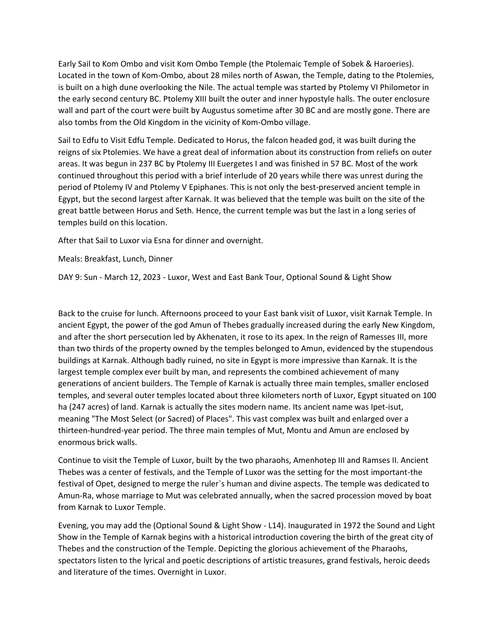Early Sail to Kom Ombo and visit Kom Ombo Temple (the Ptolemaic Temple of Sobek & Haroeries). Located in the town of Kom-Ombo, about 28 miles north of Aswan, the Temple, dating to the Ptolemies, is built on a high dune overlooking the Nile. The actual temple was started by Ptolemy VI Philometor in the early second century BC. Ptolemy XIII built the outer and inner hypostyle halls. The outer enclosure wall and part of the court were built by Augustus sometime after 30 BC and are mostly gone. There are also tombs from the Old Kingdom in the vicinity of Kom-Ombo village.

Sail to Edfu to Visit Edfu Temple. Dedicated to Horus, the falcon headed god, it was built during the reigns of six Ptolemies. We have a great deal of information about its construction from reliefs on outer areas. It was begun in 237 BC by Ptolemy III Euergetes I and was finished in 57 BC. Most of the work continued throughout this period with a brief interlude of 20 years while there was unrest during the period of Ptolemy IV and Ptolemy V Epiphanes. This is not only the best-preserved ancient temple in Egypt, but the second largest after Karnak. It was believed that the temple was built on the site of the great battle between Horus and Seth. Hence, the current temple was but the last in a long series of temples build on this location.

After that Sail to Luxor via Esna for dinner and overnight.

Meals: Breakfast, Lunch, Dinner

DAY 9: Sun - March 12, 2023 - Luxor, West and East Bank Tour, Optional Sound & Light Show

Back to the cruise for lunch. Afternoons proceed to your East bank visit of Luxor, visit Karnak Temple. In ancient Egypt, the power of the god Amun of Thebes gradually increased during the early New Kingdom, and after the short persecution led by Akhenaten, it rose to its apex. In the reign of Ramesses III, more than two thirds of the property owned by the temples belonged to Amun, evidenced by the stupendous buildings at Karnak. Although badly ruined, no site in Egypt is more impressive than Karnak. It is the largest temple complex ever built by man, and represents the combined achievement of many generations of ancient builders. The Temple of Karnak is actually three main temples, smaller enclosed temples, and several outer temples located about three kilometers north of Luxor, Egypt situated on 100 ha (247 acres) of land. Karnak is actually the sites modern name. Its ancient name was Ipet-isut, meaning "The Most Select (or Sacred) of Places". This vast complex was built and enlarged over a thirteen-hundred-year period. The three main temples of Mut, Montu and Amun are enclosed by enormous brick walls.

Continue to visit the Temple of Luxor, built by the two pharaohs, Amenhotep III and Ramses II. Ancient Thebes was a center of festivals, and the Temple of Luxor was the setting for the most important-the festival of Opet, designed to merge the ruler`s human and divine aspects. The temple was dedicated to Amun-Ra, whose marriage to Mut was celebrated annually, when the sacred procession moved by boat from Karnak to Luxor Temple.

Evening, you may add the (Optional Sound & Light Show - L14). Inaugurated in 1972 the Sound and Light Show in the Temple of Karnak begins with a historical introduction covering the birth of the great city of Thebes and the construction of the Temple. Depicting the glorious achievement of the Pharaohs, spectators listen to the lyrical and poetic descriptions of artistic treasures, grand festivals, heroic deeds and literature of the times. Overnight in Luxor.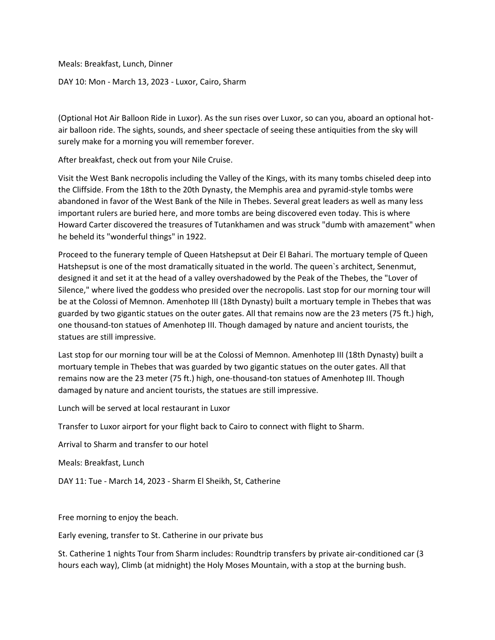Meals: Breakfast, Lunch, Dinner

DAY 10: Mon - March 13, 2023 - Luxor, Cairo, Sharm

(Optional Hot Air Balloon Ride in Luxor). As the sun rises over Luxor, so can you, aboard an optional hotair balloon ride. The sights, sounds, and sheer spectacle of seeing these antiquities from the sky will surely make for a morning you will remember forever.

After breakfast, check out from your Nile Cruise.

Visit the West Bank necropolis including the Valley of the Kings, with its many tombs chiseled deep into the Cliffside. From the 18th to the 20th Dynasty, the Memphis area and pyramid-style tombs were abandoned in favor of the West Bank of the Nile in Thebes. Several great leaders as well as many less important rulers are buried here, and more tombs are being discovered even today. This is where Howard Carter discovered the treasures of Tutankhamen and was struck "dumb with amazement" when he beheld its "wonderful things" in 1922.

Proceed to the funerary temple of Queen Hatshepsut at Deir El Bahari. The mortuary temple of Queen Hatshepsut is one of the most dramatically situated in the world. The queen`s architect, Senenmut, designed it and set it at the head of a valley overshadowed by the Peak of the Thebes, the "Lover of Silence," where lived the goddess who presided over the necropolis. Last stop for our morning tour will be at the Colossi of Memnon. Amenhotep III (18th Dynasty) built a mortuary temple in Thebes that was guarded by two gigantic statues on the outer gates. All that remains now are the 23 meters (75 ft.) high, one thousand-ton statues of Amenhotep III. Though damaged by nature and ancient tourists, the statues are still impressive.

Last stop for our morning tour will be at the Colossi of Memnon. Amenhotep III (18th Dynasty) built a mortuary temple in Thebes that was guarded by two gigantic statues on the outer gates. All that remains now are the 23 meter (75 ft.) high, one-thousand-ton statues of Amenhotep III. Though damaged by nature and ancient tourists, the statues are still impressive.

Lunch will be served at local restaurant in Luxor

Transfer to Luxor airport for your flight back to Cairo to connect with flight to Sharm.

Arrival to Sharm and transfer to our hotel

Meals: Breakfast, Lunch

DAY 11: Tue - March 14, 2023 - Sharm El Sheikh, St, Catherine

Free morning to enjoy the beach.

Early evening, transfer to St. Catherine in our private bus

St. Catherine 1 nights Tour from Sharm includes: Roundtrip transfers by private air-conditioned car (3 hours each way), Climb (at midnight) the Holy Moses Mountain, with a stop at the burning bush.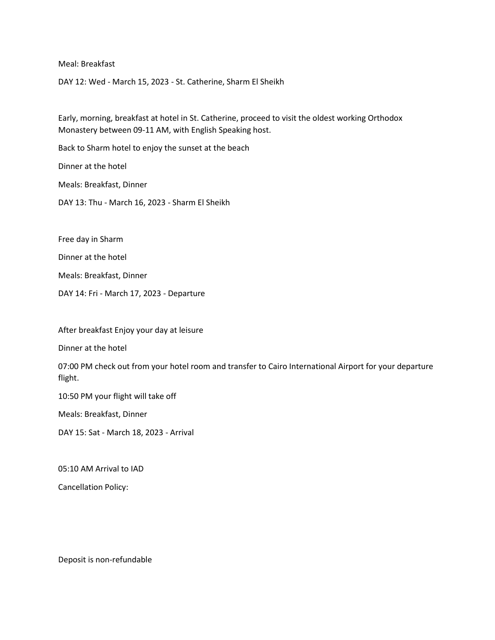Meal: Breakfast

DAY 12: Wed - March 15, 2023 - St. Catherine, Sharm El Sheikh

Early, morning, breakfast at hotel in St. Catherine, proceed to visit the oldest working Orthodox Monastery between 09-11 AM, with English Speaking host.

Back to Sharm hotel to enjoy the sunset at the beach

Dinner at the hotel

Meals: Breakfast, Dinner

DAY 13: Thu - March 16, 2023 - Sharm El Sheikh

Free day in Sharm

Dinner at the hotel

Meals: Breakfast, Dinner

DAY 14: Fri - March 17, 2023 - Departure

After breakfast Enjoy your day at leisure

Dinner at the hotel

07:00 PM check out from your hotel room and transfer to Cairo International Airport for your departure flight.

10:50 PM your flight will take off

Meals: Breakfast, Dinner

DAY 15: Sat - March 18, 2023 - Arrival

05:10 AM Arrival to IAD

Cancellation Policy:

Deposit is non-refundable